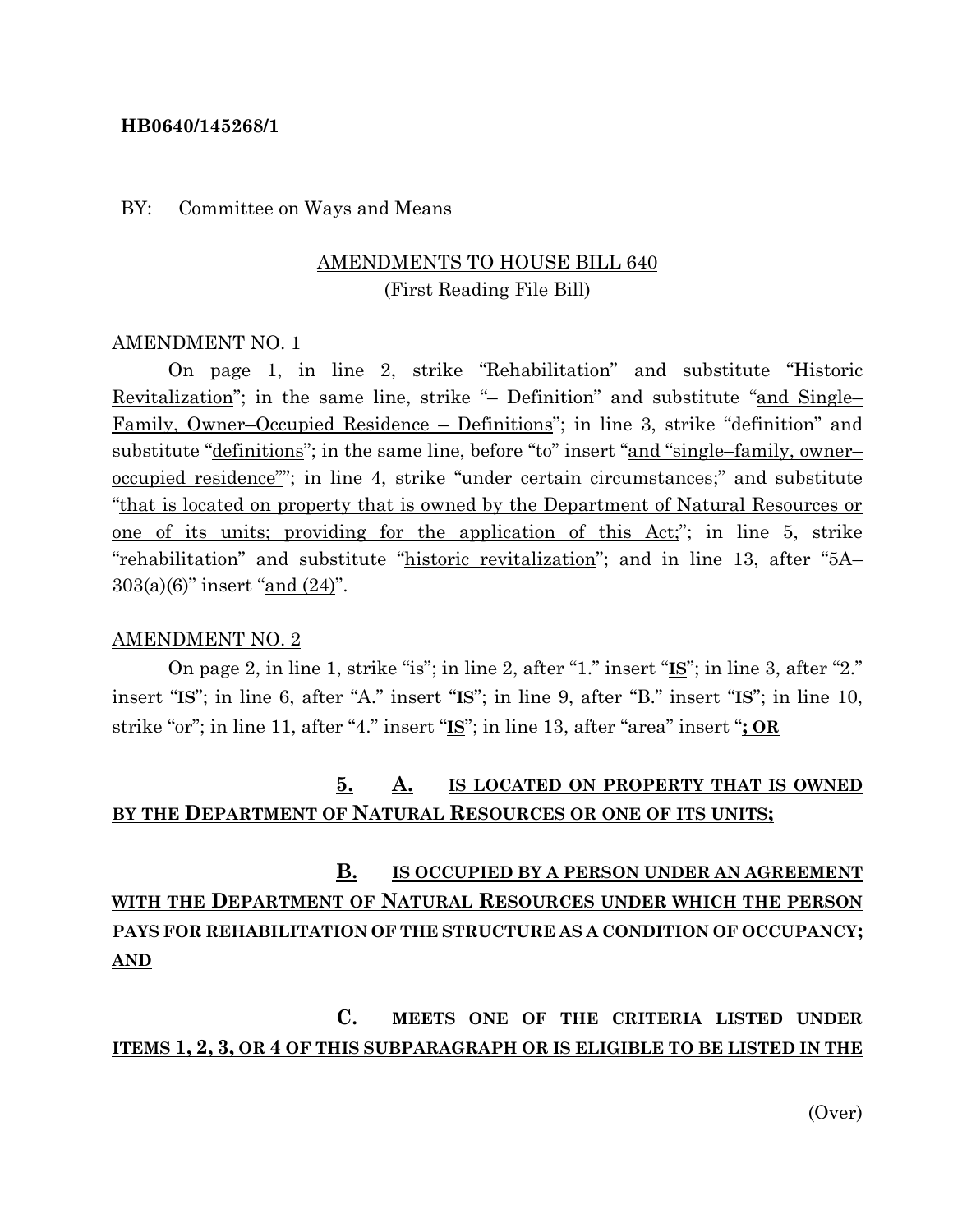### **HB0640/145268/1**

### BY: Committee on Ways and Means

### AMENDMENTS TO HOUSE BILL 640 (First Reading File Bill)

#### AMENDMENT NO. 1

On page 1, in line 2, strike "Rehabilitation" and substitute "Historic Revitalization"; in the same line, strike "– Definition" and substitute "and Single– Family, Owner–Occupied Residence – Definitions"; in line 3, strike "definition" and substitute "<u>definitions</u>"; in the same line, before "to" insert "and "single–family, owner– occupied residence""; in line 4, strike "under certain circumstances;" and substitute "that is located on property that is owned by the Department of Natural Resources or one of its units; providing for the application of this Act;"; in line 5, strike "rehabilitation" and substitute "historic revitalization"; and in line 13, after "5A– 303(a)(6)" insert "and (24)".

#### AMENDMENT NO. 2

On page 2, in line 1, strike "is"; in line 2, after "1." insert "**IS**"; in line 3, after "2." insert "**IS**"; in line 6, after "A." insert "**IS**"; in line 9, after "B." insert "**IS**"; in line 10, strike "or"; in line 11, after "4." insert "**IS**"; in line 13, after "area" insert "**; OR**

## **5. A. IS LOCATED ON PROPERTY THAT IS OWNED BY THE DEPARTMENT OF NATURAL RESOURCES OR ONE OF ITS UNITS;**

# **B. IS OCCUPIED BY A PERSON UNDER AN AGREEMENT WITH THE DEPARTMENT OF NATURAL RESOURCES UNDER WHICH THE PERSON PAYS FOR REHABILITATION OF THE STRUCTURE AS A CONDITION OF OCCUPANCY; AND**

**C. MEETS ONE OF THE CRITERIA LISTED UNDER ITEMS 1, 2, 3, OR 4 OF THIS SUBPARAGRAPH OR IS ELIGIBLE TO BE LISTED IN THE** 

(Over)